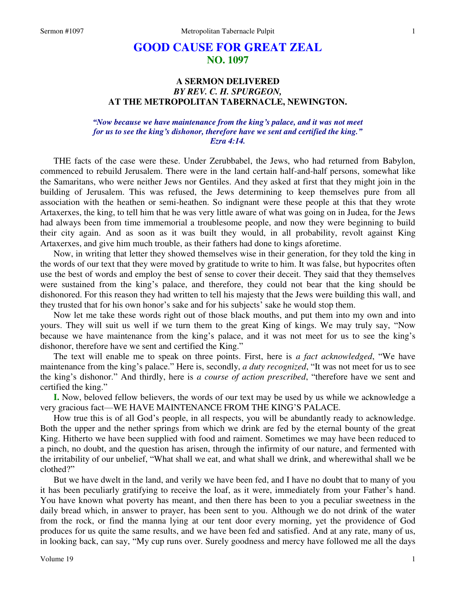# **GOOD CAUSE FOR GREAT ZEAL NO. 1097**

## **A SERMON DELIVERED**  *BY REV. C. H. SPURGEON,*  **AT THE METROPOLITAN TABERNACLE, NEWINGTON.**

## *"Now because we have maintenance from the king's palace, and it was not meet for us to see the king's dishonor, therefore have we sent and certified the king." Ezra 4:14.*

THE facts of the case were these. Under Zerubbabel, the Jews, who had returned from Babylon, commenced to rebuild Jerusalem. There were in the land certain half-and-half persons, somewhat like the Samaritans, who were neither Jews nor Gentiles. And they asked at first that they might join in the building of Jerusalem. This was refused, the Jews determining to keep themselves pure from all association with the heathen or semi-heathen. So indignant were these people at this that they wrote Artaxerxes, the king, to tell him that he was very little aware of what was going on in Judea, for the Jews had always been from time immemorial a troublesome people, and now they were beginning to build their city again. And as soon as it was built they would, in all probability, revolt against King Artaxerxes, and give him much trouble, as their fathers had done to kings aforetime.

Now, in writing that letter they showed themselves wise in their generation, for they told the king in the words of our text that they were moved by gratitude to write to him. It was false, but hypocrites often use the best of words and employ the best of sense to cover their deceit. They said that they themselves were sustained from the king's palace, and therefore, they could not bear that the king should be dishonored. For this reason they had written to tell his majesty that the Jews were building this wall, and they trusted that for his own honor's sake and for his subjects' sake he would stop them.

Now let me take these words right out of those black mouths, and put them into my own and into yours. They will suit us well if we turn them to the great King of kings. We may truly say, "Now because we have maintenance from the king's palace, and it was not meet for us to see the king's dishonor, therefore have we sent and certified the King."

The text will enable me to speak on three points. First, here is *a fact acknowledged*, "We have maintenance from the king's palace." Here is, secondly, *a duty recognized*, "It was not meet for us to see the king's dishonor." And thirdly, here is *a course of action prescribed*, "therefore have we sent and certified the king."

**I.** Now, beloved fellow believers, the words of our text may be used by us while we acknowledge a very gracious fact—WE HAVE MAINTENANCE FROM THE KING'S PALACE.

How true this is of all God's people, in all respects, you will be abundantly ready to acknowledge. Both the upper and the nether springs from which we drink are fed by the eternal bounty of the great King. Hitherto we have been supplied with food and raiment. Sometimes we may have been reduced to a pinch, no doubt, and the question has arisen, through the infirmity of our nature, and fermented with the irritability of our unbelief, "What shall we eat, and what shall we drink, and wherewithal shall we be clothed?"

But we have dwelt in the land, and verily we have been fed, and I have no doubt that to many of you it has been peculiarly gratifying to receive the loaf, as it were, immediately from your Father's hand. You have known what poverty has meant, and then there has been to you a peculiar sweetness in the daily bread which, in answer to prayer, has been sent to you. Although we do not drink of the water from the rock, or find the manna lying at our tent door every morning, yet the providence of God produces for us quite the same results, and we have been fed and satisfied. And at any rate, many of us, in looking back, can say, "My cup runs over. Surely goodness and mercy have followed me all the days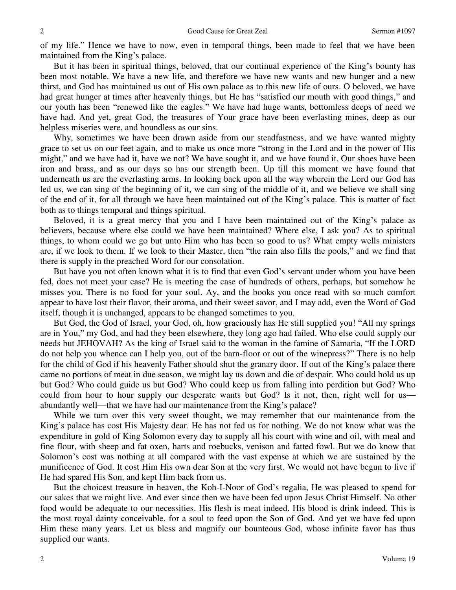of my life." Hence we have to now, even in temporal things, been made to feel that we have been maintained from the King's palace.

But it has been in spiritual things, beloved, that our continual experience of the King's bounty has been most notable. We have a new life, and therefore we have new wants and new hunger and a new thirst, and God has maintained us out of His own palace as to this new life of ours. O beloved, we have had great hunger at times after heavenly things, but He has "satisfied our mouth with good things," and our youth has been "renewed like the eagles." We have had huge wants, bottomless deeps of need we have had. And yet, great God, the treasures of Your grace have been everlasting mines, deep as our helpless miseries were, and boundless as our sins.

Why, sometimes we have been drawn aside from our steadfastness, and we have wanted mighty grace to set us on our feet again, and to make us once more "strong in the Lord and in the power of His might," and we have had it, have we not? We have sought it, and we have found it. Our shoes have been iron and brass, and as our days so has our strength been. Up till this moment we have found that underneath us are the everlasting arms. In looking back upon all the way wherein the Lord our God has led us, we can sing of the beginning of it, we can sing of the middle of it, and we believe we shall sing of the end of it, for all through we have been maintained out of the King's palace. This is matter of fact both as to things temporal and things spiritual.

Beloved, it is a great mercy that you and I have been maintained out of the King's palace as believers, because where else could we have been maintained? Where else, I ask you? As to spiritual things, to whom could we go but unto Him who has been so good to us? What empty wells ministers are, if we look to them. If we look to their Master, then "the rain also fills the pools," and we find that there is supply in the preached Word for our consolation.

But have you not often known what it is to find that even God's servant under whom you have been fed, does not meet your case? He is meeting the case of hundreds of others, perhaps, but somehow he misses you. There is no food for your soul. Ay, and the books you once read with so much comfort appear to have lost their flavor, their aroma, and their sweet savor, and I may add, even the Word of God itself, though it is unchanged, appears to be changed sometimes to you.

But God, the God of Israel, your God, oh, how graciously has He still supplied you! "All my springs are in You," my God, and had they been elsewhere, they long ago had failed. Who else could supply our needs but JEHOVAH? As the king of Israel said to the woman in the famine of Samaria, "If the LORD do not help you whence can I help you, out of the barn-floor or out of the winepress?" There is no help for the child of God if his heavenly Father should shut the granary door. If out of the King's palace there came no portions of meat in due season, we might lay us down and die of despair. Who could hold us up but God? Who could guide us but God? Who could keep us from falling into perdition but God? Who could from hour to hour supply our desperate wants but God? Is it not, then, right well for us abundantly well—that we have had our maintenance from the King's palace?

While we turn over this very sweet thought, we may remember that our maintenance from the King's palace has cost His Majesty dear. He has not fed us for nothing. We do not know what was the expenditure in gold of King Solomon every day to supply all his court with wine and oil, with meal and fine flour, with sheep and fat oxen, harts and roebucks, venison and fatted fowl. But we do know that Solomon's cost was nothing at all compared with the vast expense at which we are sustained by the munificence of God. It cost Him His own dear Son at the very first. We would not have begun to live if He had spared His Son, and kept Him back from us.

But the choicest treasure in heaven, the Koh-I-Noor of God's regalia, He was pleased to spend for our sakes that we might live. And ever since then we have been fed upon Jesus Christ Himself. No other food would be adequate to our necessities. His flesh is meat indeed. His blood is drink indeed. This is the most royal dainty conceivable, for a soul to feed upon the Son of God. And yet we have fed upon Him these many years. Let us bless and magnify our bounteous God, whose infinite favor has thus supplied our wants.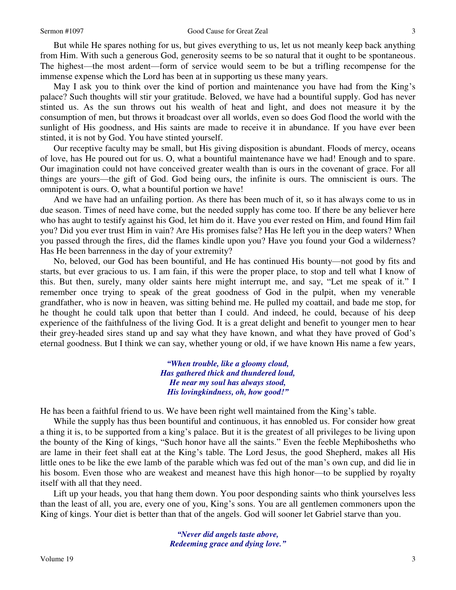### Sermon #1097 Good Cause for Great Zeal

But while He spares nothing for us, but gives everything to us, let us not meanly keep back anything from Him. With such a generous God, generosity seems to be so natural that it ought to be spontaneous. The highest—the most ardent—form of service would seem to be but a trifling recompense for the immense expense which the Lord has been at in supporting us these many years.

May I ask you to think over the kind of portion and maintenance you have had from the King's palace? Such thoughts will stir your gratitude. Beloved, we have had a bountiful supply. God has never stinted us. As the sun throws out his wealth of heat and light, and does not measure it by the consumption of men, but throws it broadcast over all worlds, even so does God flood the world with the sunlight of His goodness, and His saints are made to receive it in abundance. If you have ever been stinted, it is not by God. You have stinted yourself.

Our receptive faculty may be small, but His giving disposition is abundant. Floods of mercy, oceans of love, has He poured out for us. O, what a bountiful maintenance have we had! Enough and to spare. Our imagination could not have conceived greater wealth than is ours in the covenant of grace. For all things are yours—the gift of God. God being ours, the infinite is ours. The omniscient is ours. The omnipotent is ours. O, what a bountiful portion we have!

And we have had an unfailing portion. As there has been much of it, so it has always come to us in due season. Times of need have come, but the needed supply has come too. If there be any believer here who has aught to testify against his God, let him do it. Have you ever rested on Him, and found Him fail you? Did you ever trust Him in vain? Are His promises false? Has He left you in the deep waters? When you passed through the fires, did the flames kindle upon you? Have you found your God a wilderness? Has He been barrenness in the day of your extremity?

No, beloved, our God has been bountiful, and He has continued His bounty—not good by fits and starts, but ever gracious to us. I am fain, if this were the proper place, to stop and tell what I know of this. But then, surely, many older saints here might interrupt me, and say, "Let me speak of it." I remember once trying to speak of the great goodness of God in the pulpit, when my venerable grandfather, who is now in heaven, was sitting behind me. He pulled my coattail, and bade me stop, for he thought he could talk upon that better than I could. And indeed, he could, because of his deep experience of the faithfulness of the living God. It is a great delight and benefit to younger men to hear their grey-headed sires stand up and say what they have known, and what they have proved of God's eternal goodness. But I think we can say, whether young or old, if we have known His name a few years,

> *"When trouble, like a gloomy cloud, Has gathered thick and thundered loud, He near my soul has always stood, His lovingkindness, oh, how good!"*

He has been a faithful friend to us. We have been right well maintained from the King's table.

While the supply has thus been bountiful and continuous, it has ennobled us. For consider how great a thing it is, to be supported from a king's palace. But it is the greatest of all privileges to be living upon the bounty of the King of kings, "Such honor have all the saints." Even the feeble Mephibosheths who are lame in their feet shall eat at the King's table. The Lord Jesus, the good Shepherd, makes all His little ones to be like the ewe lamb of the parable which was fed out of the man's own cup, and did lie in his bosom. Even those who are weakest and meanest have this high honor—to be supplied by royalty itself with all that they need.

Lift up your heads, you that hang them down. You poor desponding saints who think yourselves less than the least of all, you are, every one of you, King's sons. You are all gentlemen commoners upon the King of kings. Your diet is better than that of the angels. God will sooner let Gabriel starve than you.

> *"Never did angels taste above, Redeeming grace and dying love."*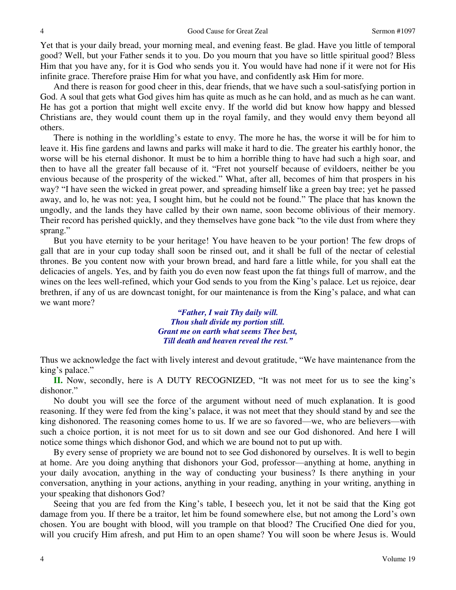Yet that is your daily bread, your morning meal, and evening feast. Be glad. Have you little of temporal good? Well, but your Father sends it to you. Do you mourn that you have so little spiritual good? Bless Him that you have any, for it is God who sends you it. You would have had none if it were not for His infinite grace. Therefore praise Him for what you have, and confidently ask Him for more.

And there is reason for good cheer in this, dear friends, that we have such a soul-satisfying portion in God. A soul that gets what God gives him has quite as much as he can hold, and as much as he can want. He has got a portion that might well excite envy. If the world did but know how happy and blessed Christians are, they would count them up in the royal family, and they would envy them beyond all others.

There is nothing in the worldling's estate to envy. The more he has, the worse it will be for him to leave it. His fine gardens and lawns and parks will make it hard to die. The greater his earthly honor, the worse will be his eternal dishonor. It must be to him a horrible thing to have had such a high soar, and then to have all the greater fall because of it. "Fret not yourself because of evildoers, neither be you envious because of the prosperity of the wicked." What, after all, becomes of him that prospers in his way? "I have seen the wicked in great power, and spreading himself like a green bay tree; yet he passed away, and lo, he was not: yea, I sought him, but he could not be found." The place that has known the ungodly, and the lands they have called by their own name, soon become oblivious of their memory. Their record has perished quickly, and they themselves have gone back "to the vile dust from where they sprang."

But you have eternity to be your heritage! You have heaven to be your portion! The few drops of gall that are in your cup today shall soon be rinsed out, and it shall be full of the nectar of celestial thrones. Be you content now with your brown bread, and hard fare a little while, for you shall eat the delicacies of angels. Yes, and by faith you do even now feast upon the fat things full of marrow, and the wines on the lees well-refined, which your God sends to you from the King's palace. Let us rejoice, dear brethren, if any of us are downcast tonight, for our maintenance is from the King's palace, and what can we want more?

> *"Father, I wait Thy daily will. Thou shalt divide my portion still. Grant me on earth what seems Thee best, Till death and heaven reveal the rest."*

Thus we acknowledge the fact with lively interest and devout gratitude, "We have maintenance from the king's palace."

**II.** Now, secondly, here is A DUTY RECOGNIZED, "It was not meet for us to see the king's dishonor."

No doubt you will see the force of the argument without need of much explanation. It is good reasoning. If they were fed from the king's palace, it was not meet that they should stand by and see the king dishonored. The reasoning comes home to us. If we are so favored—we, who are believers—with such a choice portion, it is not meet for us to sit down and see our God dishonored. And here I will notice some things which dishonor God, and which we are bound not to put up with.

By every sense of propriety we are bound not to see God dishonored by ourselves. It is well to begin at home. Are you doing anything that dishonors your God, professor—anything at home, anything in your daily avocation, anything in the way of conducting your business? Is there anything in your conversation, anything in your actions, anything in your reading, anything in your writing, anything in your speaking that dishonors God?

Seeing that you are fed from the King's table, I beseech you, let it not be said that the King got damage from you. If there be a traitor, let him be found somewhere else, but not among the Lord's own chosen. You are bought with blood, will you trample on that blood? The Crucified One died for you, will you crucify Him afresh, and put Him to an open shame? You will soon be where Jesus is. Would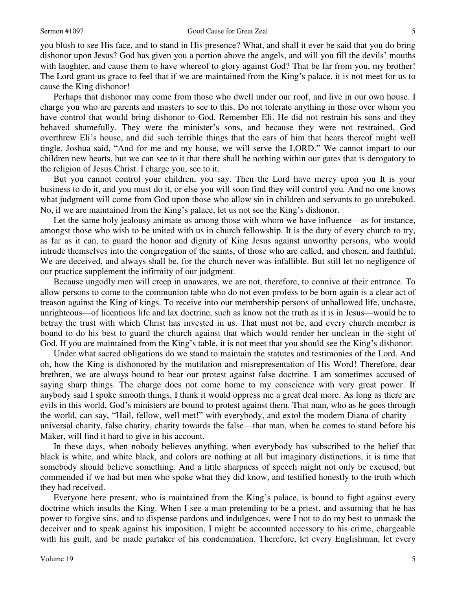#### Sermon #1097 Good Cause for Great Zeal

you blush to see His face, and to stand in His presence? What, and shall it ever be said that you do bring dishonor upon Jesus? God has given you a portion above the angels, and will you fill the devils' mouths with laughter, and cause them to have whereof to glory against God? That be far from you, my brother! The Lord grant us grace to feel that if we are maintained from the King's palace, it is not meet for us to cause the King dishonor!

Perhaps that dishonor may come from those who dwell under our roof, and live in our own house. I charge you who are parents and masters to see to this. Do not tolerate anything in those over whom you have control that would bring dishonor to God. Remember Eli. He did not restrain his sons and they behaved shamefully. They were the minister's sons, and because they were not restrained, God overthrew Eli's house, and did such terrible things that the ears of him that hears thereof might well tingle. Joshua said, "And for me and my house, we will serve the LORD." We cannot impart to our children new hearts, but we can see to it that there shall be nothing within our gates that is derogatory to the religion of Jesus Christ. I charge you, see to it.

But you cannot control your children, you say. Then the Lord have mercy upon you It is your business to do it, and you must do it, or else you will soon find they will control you*.* And no one knows what judgment will come from God upon those who allow sin in children and servants to go unrebuked. No, if we are maintained from the King's palace, let us not see the King's dishonor.

Let the same holy jealousy animate us among those with whom we have influence—as for instance, amongst those who wish to be united with us in church fellowship. It is the duty of every church to try, as far as it can, to guard the honor and dignity of King Jesus against unworthy persons, who would intrude themselves into the congregation of the saints, of those who are called, and chosen, and faithful. We are deceived, and always shall be, for the church never was infallible. But still let no negligence of our practice supplement the infirmity of our judgment.

Because ungodly men will creep in unawares, we are not, therefore, to connive at their entrance. To allow persons to come to the communion table who do not even profess to be born again is a clear act of treason against the King of kings. To receive into our membership persons of unhallowed life, unchaste, unrighteous—of licentious life and lax doctrine, such as know not the truth as it is in Jesus—would be to betray the trust with which Christ has invested in us. That must not be, and every church member is bound to do his best to guard the church against that which would render her unclean in the sight of God. If you are maintained from the King's table, it is not meet that you should see the King's dishonor.

Under what sacred obligations do we stand to maintain the statutes and testimonies of the Lord. And oh, how the King is dishonored by the mutilation and misrepresentation of His Word! Therefore, dear brethren, we are always bound to bear our protest against false doctrine. I am sometimes accused of saying sharp things. The charge does not come home to my conscience with very great power. If anybody said I spoke smooth things, I think it would oppress me a great deal more. As long as there are evils in this world, God's ministers are bound to protest against them. That man, who as he goes through the world, can say, "Hail, fellow, well met!" with everybody, and extol the modern Diana of charity universal charity, false charity, charity towards the false—that man, when he comes to stand before his Maker, will find it hard to give in his account.

In these days, when nobody believes anything, when everybody has subscribed to the belief that black is white, and white black, and colors are nothing at all but imaginary distinctions, it is time that somebody should believe something*.* And a little sharpness of speech might not only be excused, but commended if we had but men who spoke what they did know, and testified honestly to the truth which they had received.

Everyone here present, who is maintained from the King's palace, is bound to fight against every doctrine which insults the King. When I see a man pretending to be a priest, and assuming that he has power to forgive sins, and to dispense pardons and indulgences, were I not to do my best to unmask the deceiver and to speak against his imposition, I might be accounted accessory to his crime, chargeable with his guilt, and be made partaker of his condemnation. Therefore, let every Englishman, let every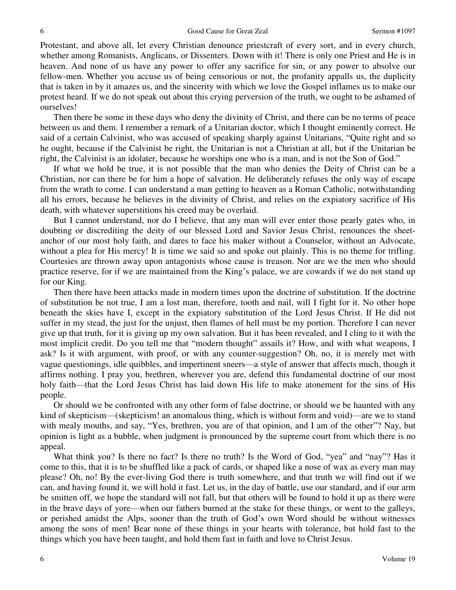Protestant, and above all, let every Christian denounce priestcraft of every sort, and in every church, whether among Romanists, Anglicans, or Dissenters. Down with it! There is only one Priest and He is in heaven. And none of us have any power to offer any sacrifice for sin, or any power to absolve our fellow-men. Whether you accuse us of being censorious or not, the profanity appalls us, the duplicity that is taken in by it amazes us, and the sincerity with which we love the Gospel inflames us to make our protest heard. If we do not speak out about this crying perversion of the truth, we ought to be ashamed of ourselves!

Then there be some in these days who deny the divinity of Christ, and there can be no terms of peace between us and them. I remember a remark of a Unitarian doctor, which I thought eminently correct. He said of a certain Calvinist, who was accused of speaking sharply against Unitarians, "Quite right and so he ought, because if the Calvinist be right, the Unitarian is not a Christian at all, but if the Unitarian be right, the Calvinist is an idolater, because he worships one who is a man, and is not the Son of God."

If what we hold be true, it is not possible that the man who denies the Deity of Christ can be a Christian, nor can there be for him a hope of salvation. He deliberately refuses the only way of escape from the wrath to come. I can understand a man getting to heaven as a Roman Catholic, notwithstanding all his errors, because he believes in the divinity of Christ, and relies on the expiatory sacrifice of His death, with whatever superstitions his creed may be overlaid.

But I cannot understand, nor do I believe, that any man will ever enter those pearly gates who, in doubting or discrediting the deity of our blessed Lord and Savior Jesus Christ, renounces the sheetanchor of our most holy faith, and dares to face his maker without a Counselor, without an Advocate, without a plea for His mercy! It is time we said so and spoke out plainly. This is no theme for trifling. Courtesies are thrown away upon antagonists whose cause is treason. Nor are we the men who should practice reserve, for if we are maintained from the King's palace, we are cowards if we do not stand up for our King.

Then there have been attacks made in modern times upon the doctrine of substitution. If the doctrine of substitution be not true, I am a lost man, therefore, tooth and nail, will I fight for it. No other hope beneath the skies have I, except in the expiatory substitution of the Lord Jesus Christ. If He did not suffer in my stead, the just for the unjust, then flames of hell must be my portion. Therefore I can never give up that truth, for it is giving up my own salvation. But it has been revealed, and I cling to it with the most implicit credit. Do you tell me that "modern thought" assails it? How, and with what weapons, I ask? Is it with argument, with proof, or with any counter-suggestion? Oh, no, it is merely met with vague questionings, idle quibbles, and impertinent sneers—a style of answer that affects much, though it affirms nothing. I pray you, brethren, wherever you are, defend this fundamental doctrine of our most holy faith—that the Lord Jesus Christ has laid down His life to make atonement for the sins of His people.

Or should we be confronted with any other form of false doctrine, or should we be haunted with any kind of skepticism—(skepticism! an anomalous thing, which is without form and void)—are we to stand with mealy mouths, and say, "Yes, brethren, you are of that opinion, and I am of the other"? Nay, but opinion is light as a bubble, when judgment is pronounced by the supreme court from which there is no appeal.

What think you? Is there no fact? Is there no truth? Is the Word of God, "yea" and "nay"? Has it come to this, that it is to be shuffled like a pack of cards, or shaped like a nose of wax as every man may please? Oh, no! By the ever-living God there is truth somewhere, and that truth we will find out if we can, and having found it, we will hold it fast. Let us, in the day of battle, use our standard, and if our arm be smitten off, we hope the standard will not fall, but that others will be found to hold it up as there were in the brave days of yore—when our fathers burned at the stake for these things, or went to the galleys, or perished amidst the Alps, sooner than the truth of God's own Word should be without witnesses among the sons of men! Bear none of these things in your hearts with tolerance, but hold fast to the things which you have been taught, and hold them fast in faith and love to Christ Jesus.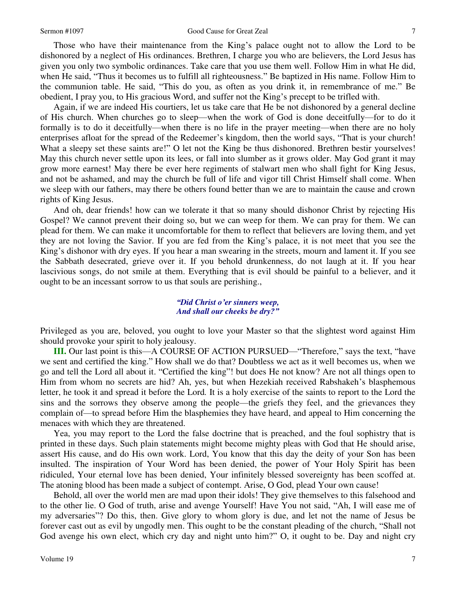#### Sermon #1097 Good Cause for Great Zeal

Those who have their maintenance from the King's palace ought not to allow the Lord to be dishonored by a neglect of His ordinances. Brethren, I charge you who are believers, the Lord Jesus has given you only two symbolic ordinances. Take care that you use them well. Follow Him in what He did, when He said, "Thus it becomes us to fulfill all righteousness." Be baptized in His name. Follow Him to the communion table. He said, "This do you, as often as you drink it, in remembrance of me." Be obedient, I pray you, to His gracious Word, and suffer not the King's precept to be trifled with.

Again, if we are indeed His courtiers, let us take care that He be not dishonored by a general decline of His church. When churches go to sleep—when the work of God is done deceitfully—for to do it formally is to do it deceitfully—when there is no life in the prayer meeting—when there are no holy enterprises afloat for the spread of the Redeemer's kingdom, then the world says, "That is your church! What a sleepy set these saints are!" O let not the King be thus dishonored. Brethren bestir yourselves! May this church never settle upon its lees, or fall into slumber as it grows older. May God grant it may grow more earnest! May there be ever here regiments of stalwart men who shall fight for King Jesus, and not be ashamed, and may the church be full of life and vigor till Christ Himself shall come. When we sleep with our fathers, may there be others found better than we are to maintain the cause and crown rights of King Jesus.

And oh, dear friends! how can we tolerate it that so many should dishonor Christ by rejecting His Gospel? We cannot prevent their doing so, but we can weep for them. We can pray for them. We can plead for them. We can make it uncomfortable for them to reflect that believers are loving them, and yet they are not loving the Savior. If you are fed from the King's palace, it is not meet that you see the King's dishonor with dry eyes. If you hear a man swearing in the streets, mourn and lament it. If you see the Sabbath desecrated, grieve over it. If you behold drunkenness, do not laugh at it. If you hear lascivious songs, do not smile at them. Everything that is evil should be painful to a believer, and it ought to be an incessant sorrow to us that souls are perishing.,

## *"Did Christ o'er sinners weep, And shall our cheeks be dry?"*

Privileged as you are, beloved, you ought to love your Master so that the slightest word against Him should provoke your spirit to holy jealousy.

**III.** Our last point is this—A COURSE OF ACTION PURSUED—"Therefore," says the text, "have we sent and certified the king." How shall we do that? Doubtless we act as it well becomes us, when we go and tell the Lord all about it. "Certified the king"! but does He not know? Are not all things open to Him from whom no secrets are hid? Ah, yes, but when Hezekiah received Rabshakeh's blasphemous letter, he took it and spread it before the Lord*.* It is a holy exercise of the saints to report to the Lord the sins and the sorrows they observe among the people—the griefs they feel, and the grievances they complain of—to spread before Him the blasphemies they have heard, and appeal to Him concerning the menaces with which they are threatened.

Yea, you may report to the Lord the false doctrine that is preached, and the foul sophistry that is printed in these days. Such plain statements might become mighty pleas with God that He should arise, assert His cause, and do His own work. Lord, You know that this day the deity of your Son has been insulted. The inspiration of Your Word has been denied, the power of Your Holy Spirit has been ridiculed, Your eternal love has been denied, Your infinitely blessed sovereignty has been scoffed at. The atoning blood has been made a subject of contempt. Arise, O God, plead Your own cause!

Behold, all over the world men are mad upon their idols! They give themselves to this falsehood and to the other lie. O God of truth, arise and avenge Yourself! Have You not said, "Ah, I will ease me of my adversaries"? Do this, then. Give glory to whom glory is due, and let not the name of Jesus be forever cast out as evil by ungodly men. This ought to be the constant pleading of the church, "Shall not God avenge his own elect, which cry day and night unto him?" O, it ought to be. Day and night cry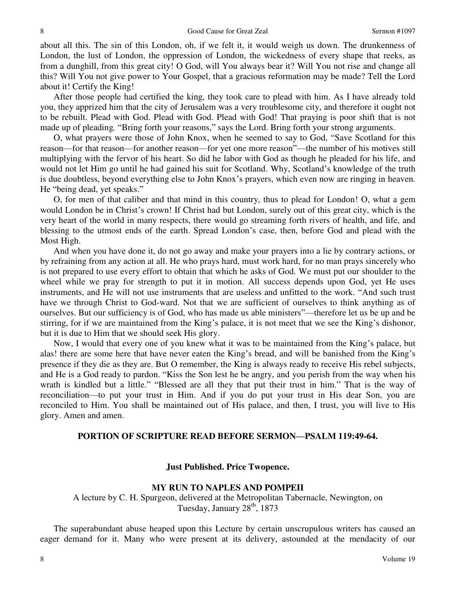about all this. The sin of this London, oh, if we felt it, it would weigh us down. The drunkenness of London, the lust of London, the oppression of London, the wickedness of every shape that reeks, as from a dunghill, from this great city! O God, will You always bear it? Will You not rise and change all this? Will You not give power to Your Gospel, that a gracious reformation may be made? Tell the Lord about it! Certify the King!

After those people had certified the king, they took care to plead with him. As I have already told you, they apprized him that the city of Jerusalem was a very troublesome city, and therefore it ought not to be rebuilt. Plead with God. Plead with God. Plead with God! That praying is poor shift that is not made up of pleading*.* "Bring forth your reasons," says the Lord. Bring forth your strong arguments.

O, what prayers were those of John Knox, when he seemed to say to God, "Save Scotland for this reason—for that reason—for another reason—for yet one more reason"—the number of his motives still multiplying with the fervor of his heart. So did he labor with God as though he pleaded for his life, and would not let Him go until he had gained his suit for Scotland. Why, Scotland's knowledge of the truth is due doubtless, beyond everything else to John Knox's prayers, which even now are ringing in heaven. He "being dead, yet speaks."

O, for men of that caliber and that mind in this country, thus to plead for London! O, what a gem would London be in Christ's crown! If Christ had but London, surely out of this great city, which is the very heart of the world in many respects, there would go streaming forth rivers of health, and life, and blessing to the utmost ends of the earth. Spread London's case, then, before God and plead with the Most High.

And when you have done it, do not go away and make your prayers into a lie by contrary actions, or by refraining from any action at all. He who prays hard, must work hard, for no man prays sincerely who is not prepared to use every effort to obtain that which he asks of God. We must put our shoulder to the wheel while we pray for strength to put it in motion. All success depends upon God, yet He uses instruments, and He will not use instruments that are useless and unfitted to the work. "And such trust have we through Christ to God-ward. Not that we are sufficient of ourselves to think anything as of ourselves. But our sufficiency is of God, who has made us able ministers"—therefore let us be up and be stirring, for if we are maintained from the King's palace, it is not meet that we see the King's dishonor, but it is due to Him that we should seek His glory.

Now, I would that every one of you knew what it was to be maintained from the King's palace, but alas! there are some here that have never eaten the King's bread, and will be banished from the King's presence if they die as they are. But O remember, the King is always ready to receive His rebel subjects, and He is a God ready to pardon. "Kiss the Son lest he be angry, and you perish from the way when his wrath is kindled but a little." "Blessed are all they that put their trust in him." That is the way of reconciliation—to put your trust in Him. And if you do put your trust in His dear Son, you are reconciled to Him. You shall be maintained out of His palace, and then, I trust, you will live to His glory. Amen and amen.

## **PORTION OF SCRIPTURE READ BEFORE SERMON—PSALM 119:49-64.**

## **Just Published. Price Twopence.**

## **MY RUN TO NAPLES AND POMPEII**

A lecture by C. H. Spurgeon, delivered at the Metropolitan Tabernacle, Newington, on Tuesday, January  $28<sup>th</sup>$ , 1873

The superabundant abuse heaped upon this Lecture by certain unscrupulous writers has caused an eager demand for it. Many who were present at its delivery, astounded at the mendacity of our

8